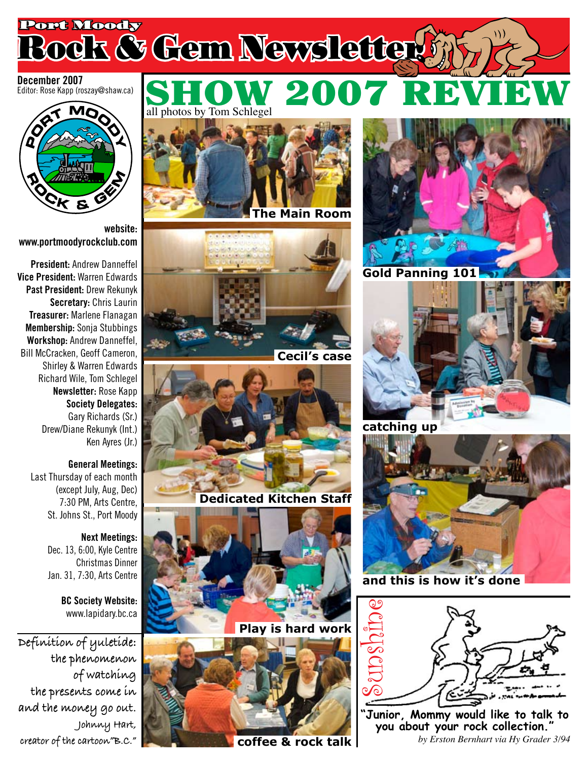Port Moody Rock & Gem Newsletter

**December 2007** Editor: Rose Kapp (roszay@shaw.ca)



**website: www.portmoodyrockclub.com**

**President:** Andrew Danneffel **Vice President:** Warren Edwards **Past President:** Drew Rekunyk **Secretary:** Chris Laurin **Treasurer:** Marlene Flanagan **Membership:** Sonja Stubbings **Workshop:** Andrew Danneffel, Bill McCracken, Geoff Cameron, Shirley & Warren Edwards Richard Wile, Tom Schlegel **Newsletter:** Rose Kapp **Society Delegates:**  Gary Richards (Sr.) Drew/Diane Rekunyk (Int.) Ken Ayres (Jr.)

> **General Meetings:**  Last Thursday of each month (except July, Aug, Dec) 7:30 PM, Arts Centre, St. Johns St., Port Moody

> > **Next Meetings:**  Dec. 13, 6:00, Kyle Centre Christmas Dinner Jan. 31, 7:30, Arts Centre

> > > **BC Society Website:**  www.lapidary.bc.ca

**Definition of yuletide: the phenomenon of watching the presents come in and the money go out. Johnny Hart, creator of the cartoon"B.C."**







**Dedicated Kitchen Staff**





**coffee & rock talk**



**Gold Panning 101**



**catching up**



**and this is how it's done**



**"Junior, Mommy would like to talk to you about your rock collection."** *by Erston Bernhart via Hy Grader 3/94*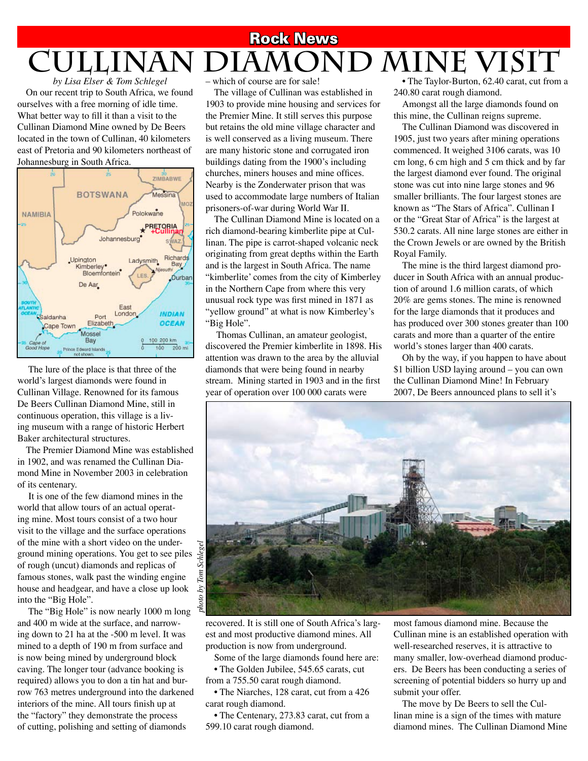## Rock News **Cullinan Diamond Mine Visit**

*by Lisa Elser & Tom Schlegel*  On our recent trip to South Africa, we found ourselves with a free morning of idle time. What better way to fill it than a visit to the Cullinan Diamond Mine owned by De Beers located in the town of Cullinan, 40 kilometers east of Pretoria and 90 kilometers northeast of Johannesburg in South Africa.



 The lure of the place is that three of the world's largest diamonds were found in Cullinan Village. Renowned for its famous De Beers Cullinan Diamond Mine, still in continuous operation, this village is a living museum with a range of historic Herbert Baker architectural structures.

The Premier Diamond Mine was established in 1902, and was renamed the Cullinan Diamond Mine in November 2003 in celebration of its centenary.

 It is one of the few diamond mines in the world that allow tours of an actual operating mine. Most tours consist of a two hour visit to the village and the surface operations of the mine with a short video on the underground mining operations. You get to see piles of rough (uncut) diamonds and replicas of famous stones, walk past the winding engine house and headgear, and have a close up look into the "Big Hole".

 The "Big Hole" is now nearly 1000 m long and 400 m wide at the surface, and narrowing down to 21 ha at the -500 m level. It was mined to a depth of 190 m from surface and is now being mined by underground block caving. The longer tour (advance booking is required) allows you to don a tin hat and burrow 763 metres underground into the darkened interiors of the mine. All tours finish up at the "factory" they demonstrate the process of cutting, polishing and setting of diamonds

– which of course are for sale!

The village of Cullinan was established in 1903 to provide mine housing and services for the Premier Mine. It still serves this purpose but retains the old mine village character and is well conserved as a living museum. There are many historic stone and corrugated iron buildings dating from the 1900's including churches, miners houses and mine offices. Nearby is the Zonderwater prison that was used to accommodate large numbers of Italian prisoners-of-war during World War II.

The Cullinan Diamond Mine is located on a rich diamond-bearing kimberlite pipe at Cullinan. The pipe is carrot-shaped volcanic neck originating from great depths within the Earth and is the largest in South Africa. The name "kimberlite' comes from the city of Kimberley in the Northern Cape from where this very unusual rock type was first mined in 1871 as "yellow ground" at what is now Kimberley's "Big Hole".

 Thomas Cullinan, an amateur geologist, discovered the Premier kimberlite in 1898. His attention was drawn to the area by the alluvial diamonds that were being found in nearby stream. Mining started in 1903 and in the first year of operation over 100 000 carats were

• The Taylor-Burton, 62.40 carat, cut from a 240.80 carat rough diamond.

Amongst all the large diamonds found on this mine, the Cullinan reigns supreme.

The Cullinan Diamond was discovered in 1905, just two years after mining operations commenced. It weighed 3106 carats, was 10 cm long, 6 cm high and 5 cm thick and by far the largest diamond ever found. The original stone was cut into nine large stones and 96 smaller brilliants. The four largest stones are known as "The Stars of Africa". Cullinan I or the "Great Star of Africa" is the largest at 530.2 carats. All nine large stones are either in the Crown Jewels or are owned by the British Royal Family.

The mine is the third largest diamond producer in South Africa with an annual production of around 1.6 million carats, of which 20% are gems stones. The mine is renowned for the large diamonds that it produces and has produced over 300 stones greater than 100 carats and more than a quarter of the entire world's stones larger than 400 carats.

Oh by the way, if you happen to have about \$1 billion USD laying around – you can own the Cullinan Diamond Mine! In February 2007, De Beers announced plans to sell it's



recovered. It is still one of South Africa's largest and most productive diamond mines. All production is now from underground.

Some of the large diamonds found here are: • The Golden Jubilee, 545.65 carats, cut

from a 755.50 carat rough diamond.

• The Niarches, 128 carat, cut from a 426 carat rough diamond.

• The Centenary, 273.83 carat, cut from a 599.10 carat rough diamond.

most famous diamond mine. Because the Cullinan mine is an established operation with well-researched reserves, it is attractive to many smaller, low-overhead diamond producers. De Beers has been conducting a series of screening of potential bidders so hurry up and submit your offer.

The move by De Beers to sell the Cullinan mine is a sign of the times with mature diamond mines. The Cullinan Diamond Mine